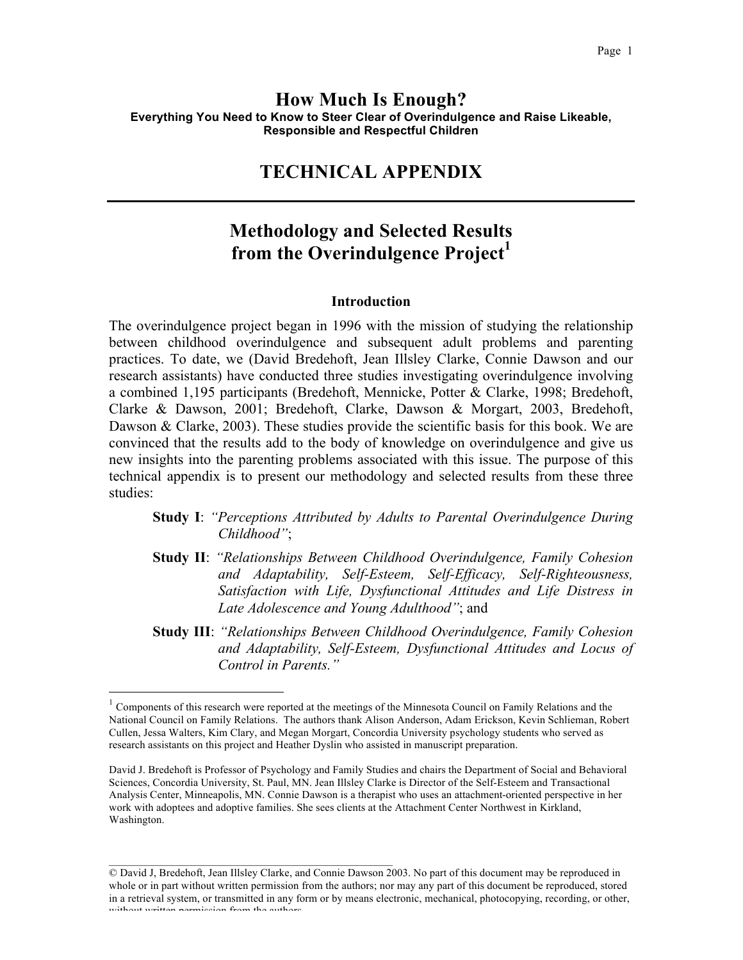### **How Much Is Enough? Everything You Need to Know to Steer Clear of Overindulgence and Raise Likeable, Responsible and Respectful Children**

# **TECHNICAL APPENDIX**

# **Methodology and Selected Results from the Overindulgence Project<sup>1</sup>**

#### **Introduction**

The overindulgence project began in 1996 with the mission of studying the relationship between childhood overindulgence and subsequent adult problems and parenting practices. To date, we (David Bredehoft, Jean Illsley Clarke, Connie Dawson and our research assistants) have conducted three studies investigating overindulgence involving a combined 1,195 participants (Bredehoft, Mennicke, Potter & Clarke, 1998; Bredehoft, Clarke & Dawson, 2001; Bredehoft, Clarke, Dawson & Morgart, 2003, Bredehoft, Dawson & Clarke, 2003). These studies provide the scientific basis for this book. We are convinced that the results add to the body of knowledge on overindulgence and give us new insights into the parenting problems associated with this issue. The purpose of this technical appendix is to present our methodology and selected results from these three studies:

- **Study I**: *"Perceptions Attributed by Adults to Parental Overindulgence During Childhood"*;
- **Study II**: *"Relationships Between Childhood Overindulgence, Family Cohesion and Adaptability, Self-Esteem, Self-Efficacy, Self-Righteousness, Satisfaction with Life, Dysfunctional Attitudes and Life Distress in Late Adolescence and Young Adulthood"*; and
- **Study III**: *"Relationships Between Childhood Overindulgence, Family Cohesion and Adaptability, Self-Esteem, Dysfunctional Attitudes and Locus of Control in Parents."*

 $1$  Components of this research were reported at the meetings of the Minnesota Council on Family Relations and the National Council on Family Relations. The authors thank Alison Anderson, Adam Erickson, Kevin Schlieman, Robert Cullen, Jessa Walters, Kim Clary, and Megan Morgart, Concordia University psychology students who served as research assistants on this project and Heather Dyslin who assisted in manuscript preparation.

David J. Bredehoft is Professor of Psychology and Family Studies and chairs the Department of Social and Behavioral Sciences, Concordia University, St. Paul, MN. Jean Illsley Clarke is Director of the Self-Esteem and Transactional Analysis Center, Minneapolis, MN. Connie Dawson is a therapist who uses an attachment-oriented perspective in her work with adoptees and adoptive families. She sees clients at the Attachment Center Northwest in Kirkland, Washington.

<sup>©</sup> David J, Bredehoft, Jean Illsley Clarke, and Connie Dawson 2003. No part of this document may be reproduced in whole or in part without written permission from the authors; nor may any part of this document be reproduced, stored in a retrieval system, or transmitted in any form or by means electronic, mechanical, photocopying, recording, or other, without written permission from the authors.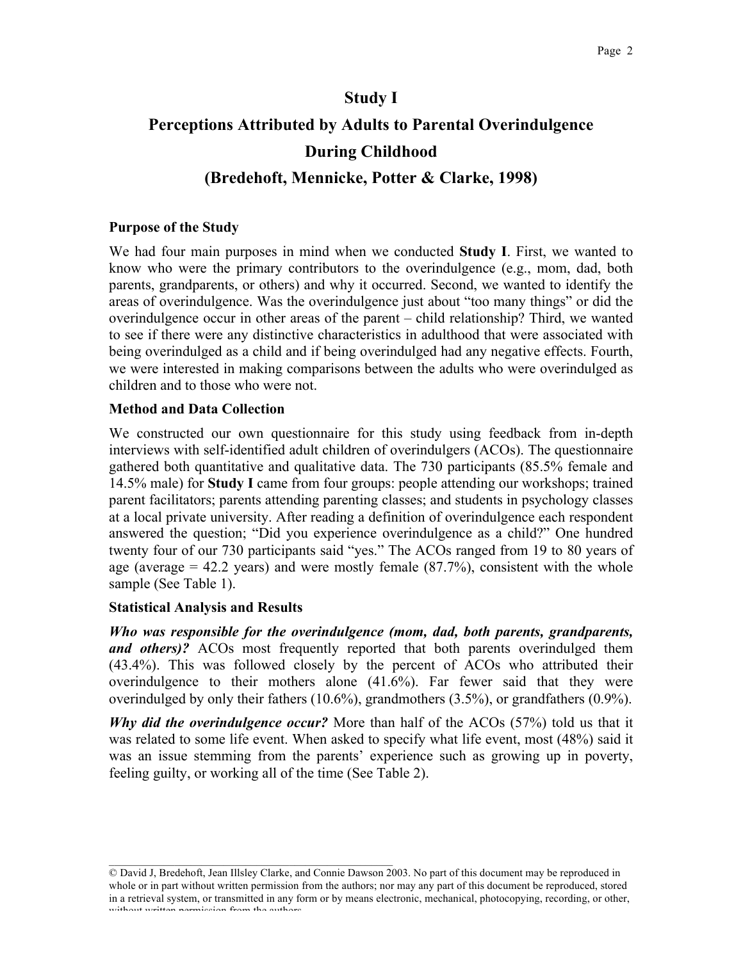# **Study I**

# **Perceptions Attributed by Adults to Parental Overindulgence During Childhood**

### **(Bredehoft, Mennicke, Potter & Clarke, 1998)**

### **Purpose of the Study**

We had four main purposes in mind when we conducted **Study I**. First, we wanted to know who were the primary contributors to the overindulgence (e.g., mom, dad, both parents, grandparents, or others) and why it occurred. Second, we wanted to identify the areas of overindulgence. Was the overindulgence just about "too many things" or did the overindulgence occur in other areas of the parent – child relationship? Third, we wanted to see if there were any distinctive characteristics in adulthood that were associated with being overindulged as a child and if being overindulged had any negative effects. Fourth, we were interested in making comparisons between the adults who were overindulged as children and to those who were not.

### **Method and Data Collection**

We constructed our own questionnaire for this study using feedback from in-depth interviews with self-identified adult children of overindulgers (ACOs). The questionnaire gathered both quantitative and qualitative data. The 730 participants (85.5% female and 14.5% male) for **Study I** came from four groups: people attending our workshops; trained parent facilitators; parents attending parenting classes; and students in psychology classes at a local private university. After reading a definition of overindulgence each respondent answered the question; "Did you experience overindulgence as a child?" One hundred twenty four of our 730 participants said "yes." The ACOs ranged from 19 to 80 years of age (average  $= 42.2$  years) and were mostly female  $(87.7%)$ , consistent with the whole sample (See Table 1).

#### **Statistical Analysis and Results**

 $\mathcal{L}_\text{max}$  and the contract of the contract of the contract of the contract of the contract of the contract of the contract of the contract of the contract of the contract of the contract of the contract of the contrac

*Who was responsible for the overindulgence (mom, dad, both parents, grandparents, and others)?* ACOs most frequently reported that both parents overindulged them (43.4%). This was followed closely by the percent of ACOs who attributed their overindulgence to their mothers alone (41.6%). Far fewer said that they were overindulged by only their fathers (10.6%), grandmothers (3.5%), or grandfathers (0.9%).

*Why did the overindulgence occur?* More than half of the ACOs (57%) told us that it was related to some life event. When asked to specify what life event, most (48%) said it was an issue stemming from the parents' experience such as growing up in poverty, feeling guilty, or working all of the time (See Table 2).

<sup>©</sup> David J, Bredehoft, Jean Illsley Clarke, and Connie Dawson 2003. No part of this document may be reproduced in whole or in part without written permission from the authors; nor may any part of this document be reproduced, stored in a retrieval system, or transmitted in any form or by means electronic, mechanical, photocopying, recording, or other, without written permission from the authors.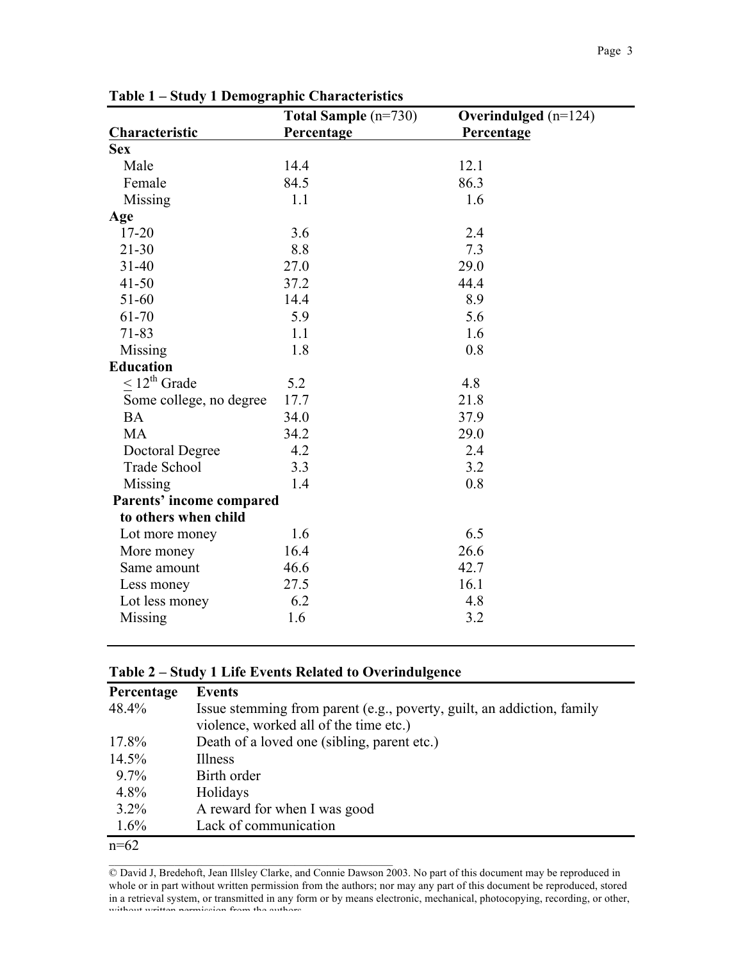|                             | Total Sample (n=730) | Overindulged $(n=124)$ |
|-----------------------------|----------------------|------------------------|
| Characteristic              | Percentage           | Percentage             |
| <b>Sex</b>                  |                      |                        |
| Male                        | 14.4                 | 12.1                   |
| Female                      | 84.5                 | 86.3                   |
| Missing                     | 1.1                  | 1.6                    |
| Age                         |                      |                        |
| $17 - 20$                   | 3.6                  | 2.4                    |
| $21 - 30$                   | 8.8                  | 7.3                    |
| $31 - 40$                   | 27.0                 | 29.0                   |
| $41 - 50$                   | 37.2                 | 44.4                   |
| 51-60                       | 14.4                 | 8.9                    |
| 61-70                       | 5.9                  | 5.6                    |
| 71-83                       | 1.1                  | 1.6                    |
| Missing                     | 1.8                  | 0.8                    |
| <b>Education</b>            |                      |                        |
| $\leq 12^{\text{th}}$ Grade | 5.2                  | 4.8                    |
| Some college, no degree     | 17.7                 | 21.8                   |
| <b>BA</b>                   | 34.0                 | 37.9                   |
| <b>MA</b>                   | 34.2                 | 29.0                   |
| Doctoral Degree             | 4.2                  | 2.4                    |
| Trade School                | 3.3                  | 3.2                    |
| Missing                     | 1.4                  | 0.8                    |
| Parents' income compared    |                      |                        |
| to others when child        |                      |                        |
| Lot more money              | 1.6                  | 6.5                    |
| More money                  | 16.4                 | 26.6                   |
| Same amount                 | 46.6                 | 42.7                   |
| Less money                  | 27.5                 | 16.1                   |
| Lot less money              | 6.2                  | 4.8                    |
| Missing                     | 1.6                  | 3.2                    |

**Table 1 – Study 1 Demographic Characteristics**

### **Table 2 – Study 1 Life Events Related to Overindulgence**

 $\mathcal{L}_\text{max}$  and the contract of the contract of the contract of the contract of the contract of the contract of the contract of the contract of the contract of the contract of the contract of the contract of the contrac

| Percentage | <b>Events</b>                                                          |
|------------|------------------------------------------------------------------------|
| 48.4%      | Issue stemming from parent (e.g., poverty, guilt, an addiction, family |
|            | violence, worked all of the time etc.)                                 |
| 17.8%      | Death of a loved one (sibling, parent etc.)                            |
| 14.5%      | Illness                                                                |
| $9.7\%$    | Birth order                                                            |
| 4.8%       | Holidays                                                               |
| $3.2\%$    | A reward for when I was good                                           |
| $1.6\%$    | Lack of communication                                                  |
| $n=62$     |                                                                        |

© David J, Bredehoft, Jean Illsley Clarke, and Connie Dawson 2003. No part of this document may be reproduced in whole or in part without written permission from the authors; nor may any part of this document be reproduced, stored in a retrieval system, or transmitted in any form or by means electronic, mechanical, photocopying, recording, or other, without written permission from the authors.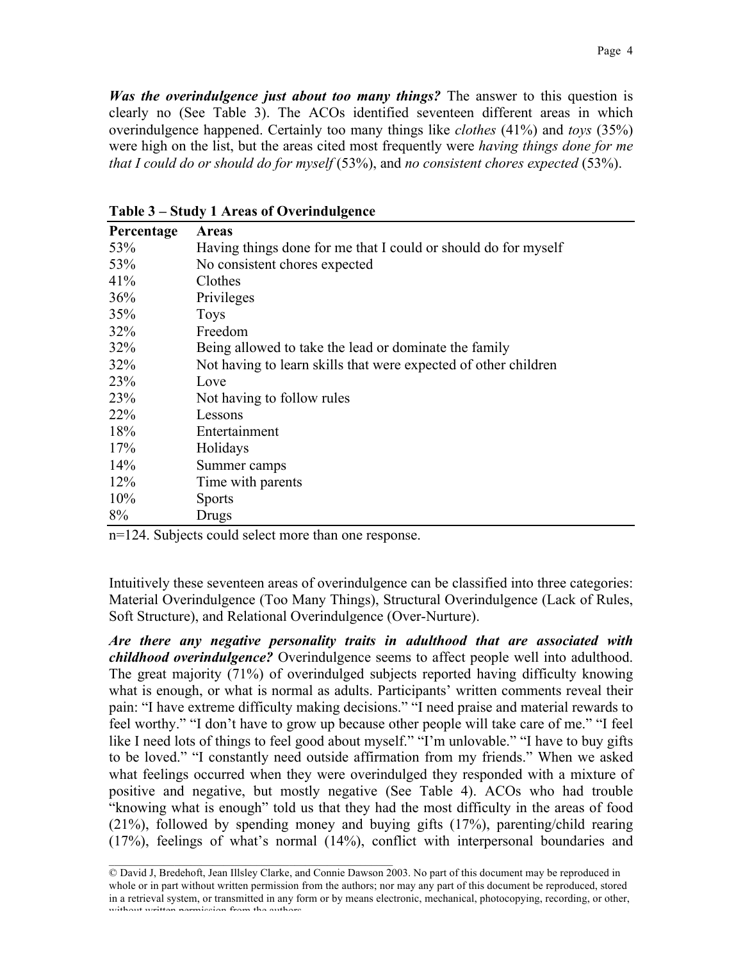*Was the overindulgence just about too many things?* The answer to this question is clearly no (See Table 3). The ACOs identified seventeen different areas in which overindulgence happened. Certainly too many things like *clothes* (41%) and *toys* (35%) were high on the list, but the areas cited most frequently were *having things done for me that I could do or should do for myself* (53%), and *no consistent chores expected* (53%).

| Percentage | <b>Areas</b>                                                    |
|------------|-----------------------------------------------------------------|
| 53%        | Having things done for me that I could or should do for myself  |
| 53%        | No consistent chores expected                                   |
| 41%        | Clothes                                                         |
| 36%        | Privileges                                                      |
| 35%        | <b>Toys</b>                                                     |
| 32%        | Freedom                                                         |
| 32%        | Being allowed to take the lead or dominate the family           |
| 32%        | Not having to learn skills that were expected of other children |
| 23%        | Love                                                            |
| 23%        | Not having to follow rules                                      |
| 22%        | Lessons                                                         |
| 18%        | Entertainment                                                   |
| 17%        | Holidays                                                        |
| 14%        | Summer camps                                                    |
| 12%        | Time with parents                                               |
| 10%        | <b>Sports</b>                                                   |
| 8%         | Drugs                                                           |

**Table 3 – Study 1 Areas of Overindulgence**

n=124. Subjects could select more than one response.

 $\mathcal{L}_\text{max}$  and the contract of the contract of the contract of the contract of the contract of the contract of the contract of the contract of the contract of the contract of the contract of the contract of the contrac

Intuitively these seventeen areas of overindulgence can be classified into three categories: Material Overindulgence (Too Many Things), Structural Overindulgence (Lack of Rules, Soft Structure), and Relational Overindulgence (Over-Nurture).

*Are there any negative personality traits in adulthood that are associated with childhood overindulgence?* Overindulgence seems to affect people well into adulthood. The great majority (71%) of overindulged subjects reported having difficulty knowing what is enough, or what is normal as adults. Participants' written comments reveal their pain: "I have extreme difficulty making decisions." "I need praise and material rewards to feel worthy." "I don't have to grow up because other people will take care of me." "I feel like I need lots of things to feel good about myself." "I'm unlovable." "I have to buy gifts to be loved." "I constantly need outside affirmation from my friends." When we asked what feelings occurred when they were overindulged they responded with a mixture of positive and negative, but mostly negative (See Table 4). ACOs who had trouble "knowing what is enough" told us that they had the most difficulty in the areas of food (21%), followed by spending money and buying gifts (17%), parenting/child rearing (17%), feelings of what's normal (14%), conflict with interpersonal boundaries and

<sup>©</sup> David J, Bredehoft, Jean Illsley Clarke, and Connie Dawson 2003. No part of this document may be reproduced in whole or in part without written permission from the authors; nor may any part of this document be reproduced, stored in a retrieval system, or transmitted in any form or by means electronic, mechanical, photocopying, recording, or other, without written permission from the authors.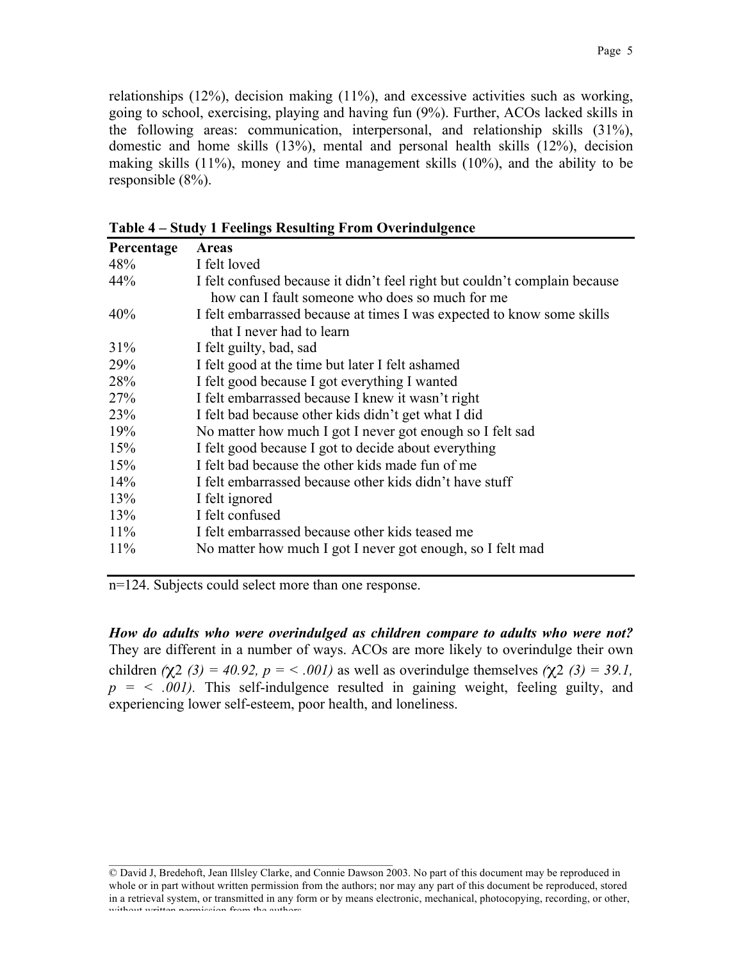relationships (12%), decision making (11%), and excessive activities such as working, going to school, exercising, playing and having fun (9%). Further, ACOs lacked skills in the following areas: communication, interpersonal, and relationship skills (31%), domestic and home skills (13%), mental and personal health skills (12%), decision making skills (11%), money and time management skills (10%), and the ability to be responsible (8%).

| Percentage | <b>Areas</b>                                                                                                                  |
|------------|-------------------------------------------------------------------------------------------------------------------------------|
| 48%        | I felt loved                                                                                                                  |
| 44%        | I felt confused because it didn't feel right but couldn't complain because<br>how can I fault someone who does so much for me |
| 40%        | I felt embarrassed because at times I was expected to know some skills<br>that I never had to learn                           |
| 31%        | I felt guilty, bad, sad                                                                                                       |
| 29%        | I felt good at the time but later I felt ashamed                                                                              |
| 28%        | I felt good because I got everything I wanted                                                                                 |
| 27%        | I felt embarrassed because I knew it wasn't right                                                                             |
| 23%        | I felt bad because other kids didn't get what I did                                                                           |
| 19%        | No matter how much I got I never got enough so I felt sad                                                                     |
| 15%        | I felt good because I got to decide about everything                                                                          |
| 15%        | I felt bad because the other kids made fun of me                                                                              |
| 14%        | I felt embarrassed because other kids didn't have stuff                                                                       |
| 13%        | I felt ignored                                                                                                                |
| 13%        | I felt confused                                                                                                               |
| $11\%$     | I felt embarrassed because other kids teased me                                                                               |
| 11%        | No matter how much I got I never got enough, so I felt mad                                                                    |

**Table 4 – Study 1 Feelings Resulting From Overindulgence**

n=124. Subjects could select more than one response.

 $\mathcal{L}_\text{max}$  and the contract of the contract of the contract of the contract of the contract of the contract of the contract of the contract of the contract of the contract of the contract of the contract of the contrac

*How do adults who were overindulged as children compare to adults who were not?* They are different in a number of ways. ACOs are more likely to overindulge their own children  $(\gamma 2 \mid 3) = 40.92$ ,  $p = \langle .001 \rangle$  as well as overindulge themselves  $(\gamma 2 \mid 3) = 39.1$ ,  $p = \langle .001 \rangle$ . This self-indulgence resulted in gaining weight, feeling guilty, and experiencing lower self-esteem, poor health, and loneliness.

<sup>©</sup> David J, Bredehoft, Jean Illsley Clarke, and Connie Dawson 2003. No part of this document may be reproduced in whole or in part without written permission from the authors; nor may any part of this document be reproduced, stored in a retrieval system, or transmitted in any form or by means electronic, mechanical, photocopying, recording, or other, without written permission from the authors.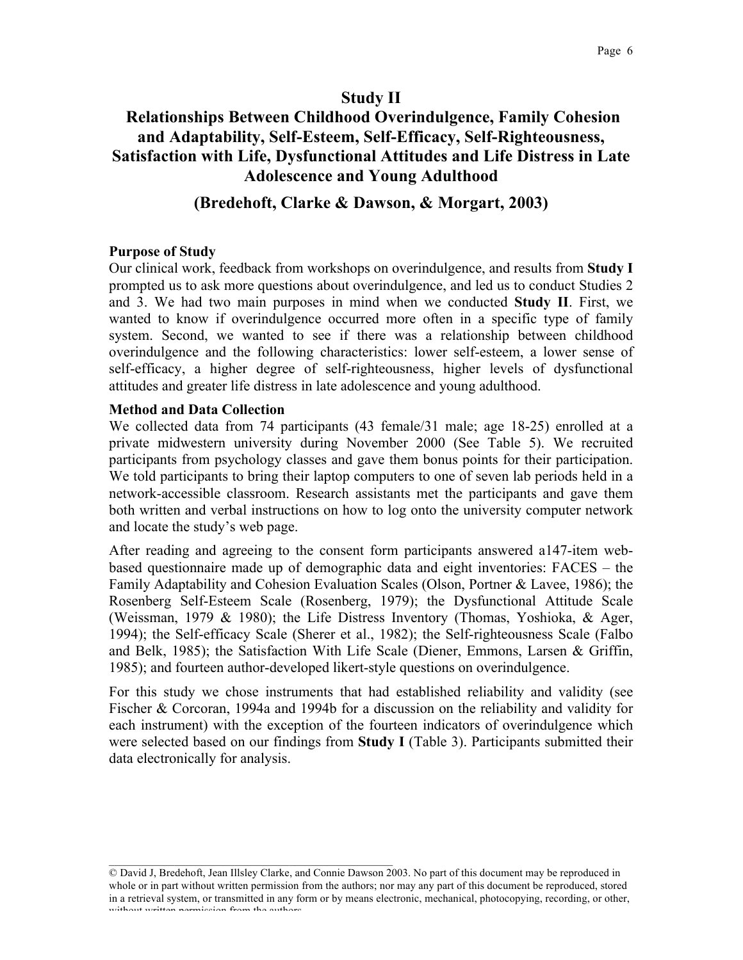### **Study II**

## **Relationships Between Childhood Overindulgence, Family Cohesion and Adaptability, Self-Esteem, Self-Efficacy, Self-Righteousness, Satisfaction with Life, Dysfunctional Attitudes and Life Distress in Late Adolescence and Young Adulthood**

### **(Bredehoft, Clarke & Dawson, & Morgart, 2003)**

#### **Purpose of Study**

Our clinical work, feedback from workshops on overindulgence, and results from **Study I** prompted us to ask more questions about overindulgence, and led us to conduct Studies 2 and 3. We had two main purposes in mind when we conducted **Study II**. First, we wanted to know if overindulgence occurred more often in a specific type of family system. Second, we wanted to see if there was a relationship between childhood overindulgence and the following characteristics: lower self-esteem, a lower sense of self-efficacy, a higher degree of self-righteousness, higher levels of dysfunctional attitudes and greater life distress in late adolescence and young adulthood.

#### **Method and Data Collection**

We collected data from 74 participants (43 female/31 male; age 18-25) enrolled at a private midwestern university during November 2000 (See Table 5). We recruited participants from psychology classes and gave them bonus points for their participation. We told participants to bring their laptop computers to one of seven lab periods held in a network-accessible classroom. Research assistants met the participants and gave them both written and verbal instructions on how to log onto the university computer network and locate the study's web page.

After reading and agreeing to the consent form participants answered a147-item webbased questionnaire made up of demographic data and eight inventories: FACES – the Family Adaptability and Cohesion Evaluation Scales (Olson, Portner & Lavee, 1986); the Rosenberg Self-Esteem Scale (Rosenberg, 1979); the Dysfunctional Attitude Scale (Weissman, 1979 & 1980); the Life Distress Inventory (Thomas, Yoshioka, & Ager, 1994); the Self-efficacy Scale (Sherer et al., 1982); the Self-righteousness Scale (Falbo and Belk, 1985); the Satisfaction With Life Scale (Diener, Emmons, Larsen & Griffin, 1985); and fourteen author-developed likert-style questions on overindulgence.

For this study we chose instruments that had established reliability and validity (see Fischer & Corcoran, 1994a and 1994b for a discussion on the reliability and validity for each instrument) with the exception of the fourteen indicators of overindulgence which were selected based on our findings from **Study I** (Table 3). Participants submitted their data electronically for analysis.

© David J, Bredehoft, Jean Illsley Clarke, and Connie Dawson 2003. No part of this document may be reproduced in whole or in part without written permission from the authors; nor may any part of this document be reproduced, stored in a retrieval system, or transmitted in any form or by means electronic, mechanical, photocopying, recording, or other, without written permission from the authors.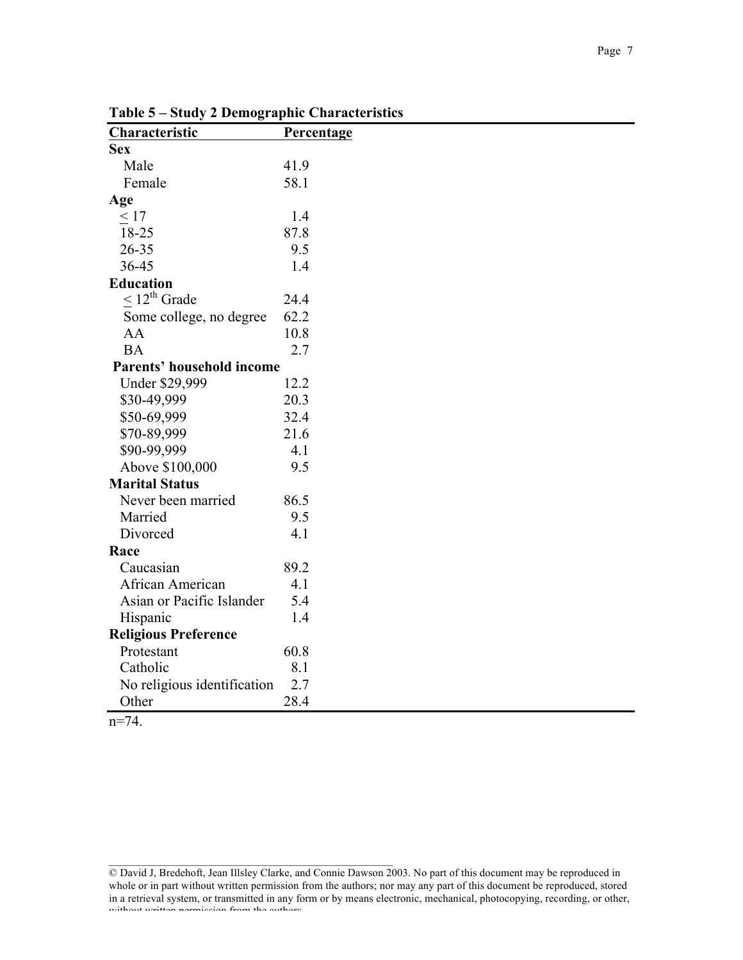| <b>Characteristic</b>            | <b>Percentage</b> |
|----------------------------------|-------------------|
| <b>Sex</b>                       |                   |
| Male                             | 41.9              |
| Female                           | 58.1              |
| Age                              |                   |
| < 17                             | 1.4               |
| 18-25                            | 87.8              |
| $26 - 35$                        | 9.5               |
| 36-45                            | 1.4               |
| <b>Education</b>                 |                   |
| $\leq 12^{\text{th}}$ Grade      | 24.4              |
| Some college, no degree          | 62.2              |
| AA                               | 10.8              |
| <b>BA</b>                        | 2.7               |
| <b>Parents' household income</b> |                   |
| <b>Under \$29,999</b>            | 12.2              |
| \$30-49,999                      | 20.3              |
| \$50-69,999                      | 32.4              |
| \$70-89,999                      | 21.6              |
| \$90-99,999                      | 4.1               |
| Above \$100,000                  | 9.5               |
| <b>Marital Status</b>            |                   |
| Never been married               | 86.5              |
| Married                          | 9.5               |
| Divorced                         | 4.1               |
| Race                             |                   |
| Caucasian                        | 89.2              |
| African American                 | 4.1               |
| Asian or Pacific Islander        | 5.4               |
| Hispanic                         | 1.4               |
| <b>Religious Preference</b>      |                   |
| Protestant                       | 60.8              |
| Catholic                         | 8.1               |
| No religious identification      | 2.7               |
| Other                            | 28.4              |
| $n = 74$ .                       |                   |

**Table 5 – Study 2 Demographic Characteristics**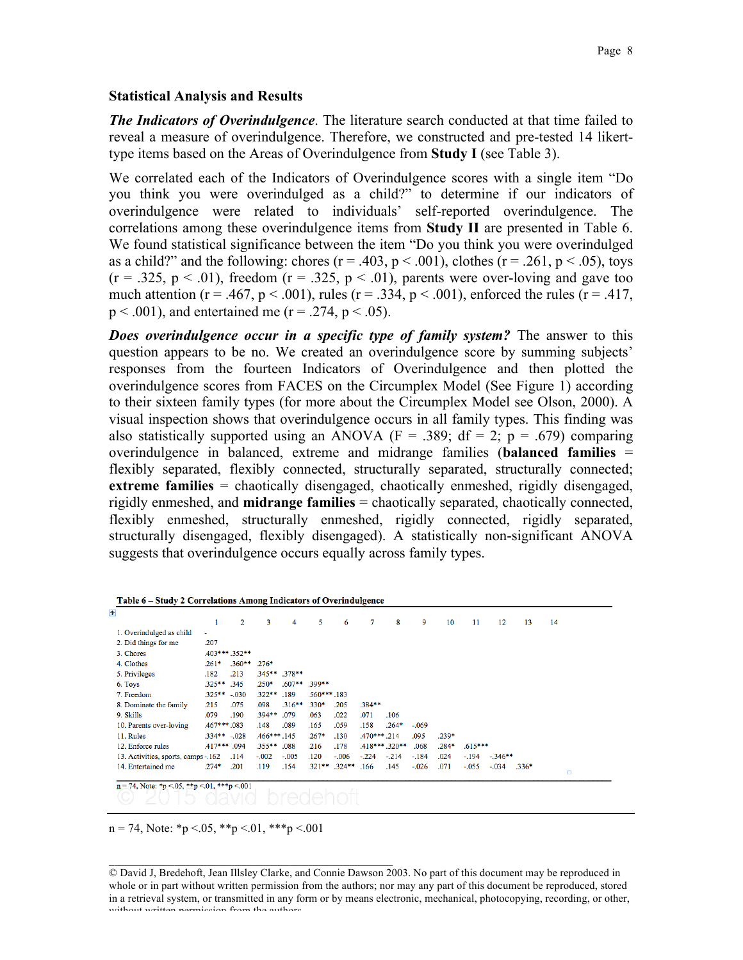#### **Statistical Analysis and Results**

*The Indicators of Overindulgence*. The literature search conducted at that time failed to reveal a measure of overindulgence. Therefore, we constructed and pre-tested 14 likerttype items based on the Areas of Overindulgence from **Study I** (see Table 3).

We correlated each of the Indicators of Overindulgence scores with a single item "Do you think you were overindulged as a child?" to determine if our indicators of overindulgence were related to individuals' self-reported overindulgence. The correlations among these overindulgence items from **Study II** are presented in Table 6. We found statistical significance between the item "Do you think you were overindulged as a child?" and the following: chores ( $r = .403$ ,  $p < .001$ ), clothes ( $r = .261$ ,  $p < .05$ ), toys  $(r = .325, p < .01)$ , freedom  $(r = .325, p < .01)$ , parents were over-loving and gave too much attention (r = .467, p < .001), rules (r = .334, p < .001), enforced the rules (r = .417,  $p < .001$ ), and entertained me (r = .274, p < .05).

*Does overindulgence occur in a specific type of family system?* The answer to this question appears to be no. We created an overindulgence score by summing subjects' responses from the fourteen Indicators of Overindulgence and then plotted the overindulgence scores from FACES on the Circumplex Model (See Figure 1) according to their sixteen family types (for more about the Circumplex Model see Olson, 2000). A visual inspection shows that overindulgence occurs in all family types. This finding was also statistically supported using an ANOVA ( $F = .389$ ; df = 2; p = .679) comparing overindulgence in balanced, extreme and midrange families (**balanced families** = flexibly separated, flexibly connected, structurally separated, structurally connected; **extreme families** = chaotically disengaged, chaotically enmeshed, rigidly disengaged, rigidly enmeshed, and **midrange families** = chaotically separated, chaotically connected, flexibly enmeshed, structurally enmeshed, rigidly connected, rigidly separated, structurally disengaged, flexibly disengaged). A statistically non-significant ANOVA suggests that overindulgence occurs equally across family types.

| $\ddot{\text{}}$                    |                | $\overline{2}$ | 3             | 4        | 5             | 6        | 7             | 8       | 9       | 10      | 11        | 12       | 13      | 14     |
|-------------------------------------|----------------|----------------|---------------|----------|---------------|----------|---------------|---------|---------|---------|-----------|----------|---------|--------|
| 1. Overindulged as child            | ٠              |                |               |          |               |          |               |         |         |         |           |          |         |        |
| 2. Did things for me                | .207           |                |               |          |               |          |               |         |         |         |           |          |         |        |
| 3. Chores                           | .403***.352**  |                |               |          |               |          |               |         |         |         |           |          |         |        |
| 4. Clothes                          | $.261*$        | $.360**$       | $.276*$       |          |               |          |               |         |         |         |           |          |         |        |
| 5. Privileges                       | .182           | .213           | .345** .378** |          |               |          |               |         |         |         |           |          |         |        |
| 6. Toys                             | $.325**$       | .345           | $.250*$       | $.607**$ | $.399**$      |          |               |         |         |         |           |          |         |        |
| 7. Freedom                          | $.325**$       | $-.030$        | $.322**$      | .189     | $.560***.183$ |          |               |         |         |         |           |          |         |        |
| 8. Dominate the family              | .215           | .075           | .098          | $.316**$ | $.330*$       | .205     | $.384**$      |         |         |         |           |          |         |        |
| 9. Skills                           | .079           | .190           | $.394**$      | .079     | .063          | .022     | .071          | .106    |         |         |           |          |         |        |
| 10. Parents over-loving             | .467***.083    |                | .148          | .089     | .165          | .059     | .158          | $.264*$ | $-.069$ |         |           |          |         |        |
| 11. Rules                           | $.334***-.028$ |                | $.466***.145$ |          | $.267*$       | .130     | $.470***.214$ |         | .095    | $.239*$ |           |          |         |        |
| 12. Enforce rules                   | .417*** .094   |                | $.355***$     | .088     | .216          | .178     | .418***.320** |         | .068    | $.284*$ | $.615***$ |          |         |        |
| 13. Activities, sports, camps - 162 |                | .114           | $-.002$       | $-.005$  | .120          | $-.006$  | $-.224$       | $-.214$ | $-.184$ | .024    | $-.194$   | $-346**$ |         |        |
| 14. Entertained me                  | $.274*$        | .201           | .119          | .154     | $.321**$      | $.324**$ | .166          | .145    | $-.026$ | .071    | $-.055$   | $-.034$  | $.336*$ | $\Box$ |

 $n = 74$ , Note: \*p <.05, \*\*p <.01, \*\*\*p <.001

 $\mathcal{L}_\text{max}$  and the contract of the contract of the contract of the contract of the contract of the contract of the contract of the contract of the contract of the contract of the contract of the contract of the contrac

© David J, Bredehoft, Jean Illsley Clarke, and Connie Dawson 2003. No part of this document may be reproduced in whole or in part without written permission from the authors; nor may any part of this document be reproduced, stored in a retrieval system, or transmitted in any form or by means electronic, mechanical, photocopying, recording, or other, without written permission from the authors.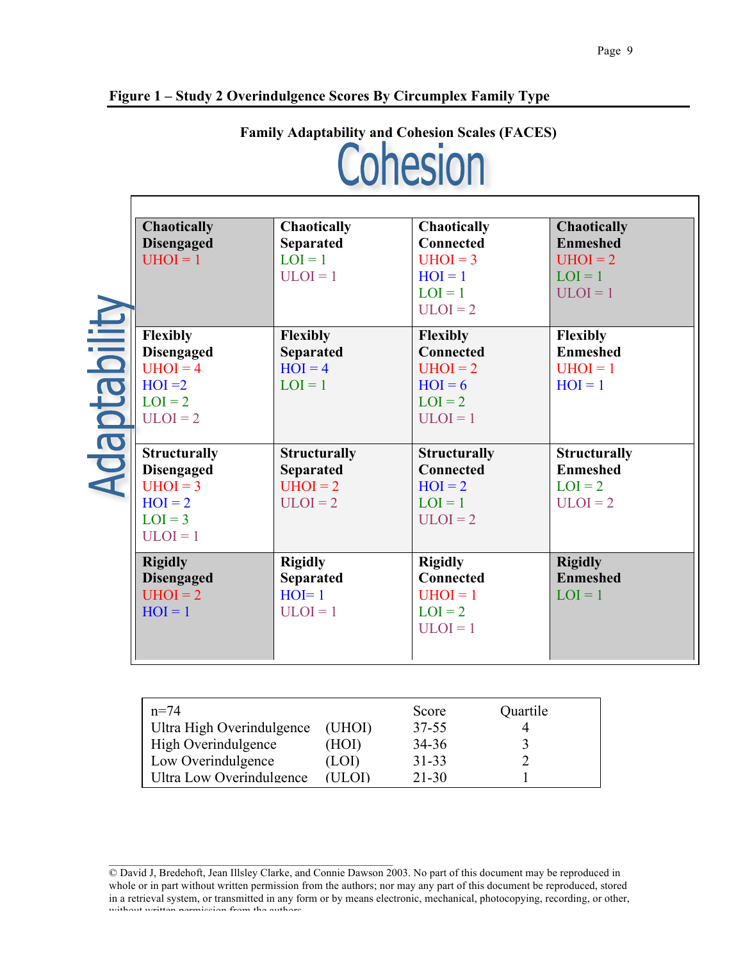|                     | Chaotically<br><b>Disengaged</b>                                                               | Chaotically<br><b>Separated</b>                                   | Cohesion<br>Chaotically<br><b>Connected</b>                                                   | Chaotically<br><b>Enmeshed</b>                                    |
|---------------------|------------------------------------------------------------------------------------------------|-------------------------------------------------------------------|-----------------------------------------------------------------------------------------------|-------------------------------------------------------------------|
|                     | $UHOI = 1$                                                                                     | $LOI = 1$<br>$ULOI = 1$                                           | $UHOI = 3$<br>$HOI = 1$<br>$LOI = 1$<br>$ULOI = 2$                                            | $UHOI = 2$<br>$LOI = 1$<br>$ULOI = 1$                             |
|                     | <b>Flexibly</b>                                                                                | <b>Flexibly</b>                                                   | <b>Flexibly</b>                                                                               | <b>Flexibly</b>                                                   |
| <b>Adaptability</b> | <b>Disengaged</b><br>$UHOI = 4$<br>$HOI = 2$<br>$LOI = 2$<br>$ULOI = 2$<br><b>Structurally</b> | <b>Separated</b><br>$HOI = 4$<br>$LOI = 1$<br><b>Structurally</b> | <b>Connected</b><br>$UHOI = 2$<br>$HOI = 6$<br>$LOI = 2$<br>$ULOI = 1$<br><b>Structurally</b> | <b>Enmeshed</b><br>$UHOI = 1$<br>$HOI = 1$<br><b>Structurally</b> |
|                     | <b>Disengaged</b>                                                                              | <b>Separated</b>                                                  | <b>Connected</b>                                                                              | <b>Enmeshed</b>                                                   |
|                     | $UHOI = 3$<br>$HOI = 2$<br>$LOI = 3$<br>$ULOI = 1$                                             | $UHOI = 2$<br>$ULOI = 2$                                          | $HOI = 2$<br>$LOI = 1$<br>$ULOI = 2$                                                          | $LOI = 2$<br>$ULOI = 2$                                           |
|                     | <b>Rigidly</b><br><b>Disengaged</b><br>$UHOI = 2$<br>$HOI = 1$                                 | <b>Rigidly</b><br>Separated<br>$HOI=1$<br>$ULOI = 1$              | <b>Rigidly</b><br><b>Connected</b><br>$UHOI = 1$<br>$LOI = 2$<br>$ULOI = 1$                   | <b>Rigidly</b><br><b>Enmeshed</b><br>$LOI = 1$                    |

### **Figure 1 – Study 2 Overindulgence Scores By Circumplex Family Type**

| n=74                      |               | Score     | Quartile |  |
|---------------------------|---------------|-----------|----------|--|
| Ultra High Overindulgence | (UHOI)        | 37-55     |          |  |
| High Overindulgence       | (HOI)         | $34 - 36$ |          |  |
| Low Overindulgence        | (LOI)         | $31 - 33$ |          |  |
| Ultra Low Overindulgence  | <b>ALL OD</b> | 21-30     |          |  |
|                           |               |           |          |  |

**Family Adaptability and Cohesion Scales (FACES)**

in a retrieval system, or transmitted in any form or by means electronic, mechanical, photocopying, recording, or other,

without written permission from the authors.

 $\mathcal{L}_\text{max}$  and the contract of the contract of the contract of the contract of the contract of the contract of the contract of the contract of the contract of the contract of the contract of the contract of the contrac © David J, Bredehoft, Jean Illsley Clarke, and Connie Dawson 2003. No part of this document may be reproduced in whole or in part without written permission from the authors; nor may any part of this document be reproduced, stored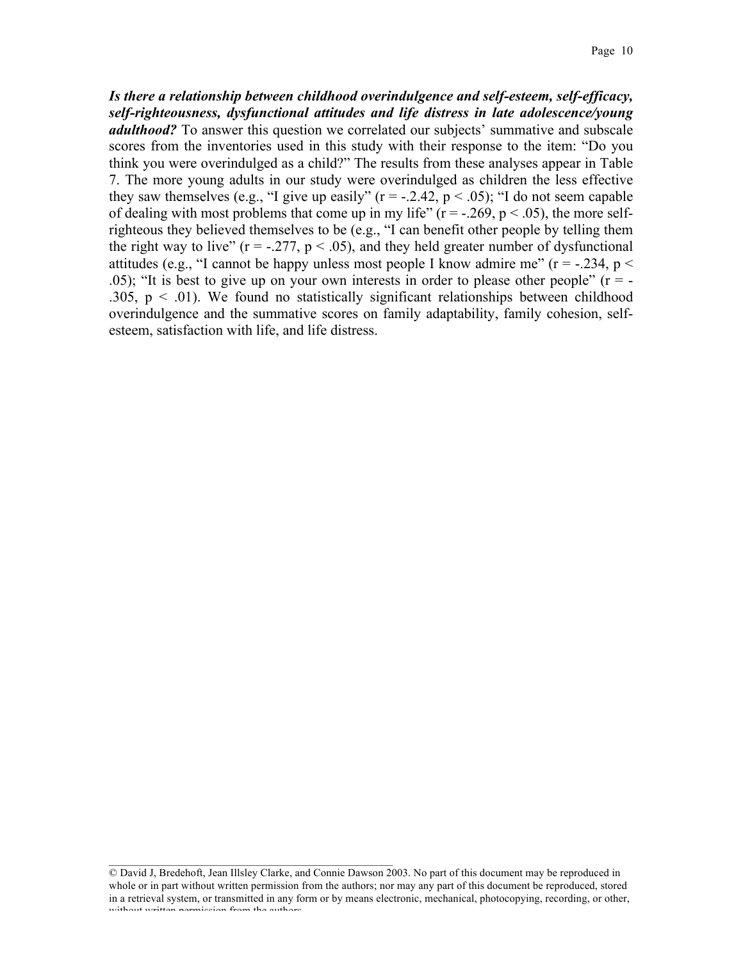*Is there a relationship between childhood overindulgence and self-esteem, self-efficacy, self-righteousness, dysfunctional attitudes and life distress in late adolescence/young adulthood?* To answer this question we correlated our subjects' summative and subscale scores from the inventories used in this study with their response to the item: "Do you think you were overindulged as a child?" The results from these analyses appear in Table 7. The more young adults in our study were overindulged as children the less effective they saw themselves (e.g., "I give up easily" ( $r = -0.2.42$ ,  $p < 0.05$ ); "I do not seem capable of dealing with most problems that come up in my life" ( $r = -0.269$ ,  $p < 0.05$ ), the more selfrighteous they believed themselves to be (e.g., "I can benefit other people by telling them the right way to live"  $(r = -.277, p < .05)$ , and they held greater number of dysfunctional attitudes (e.g., "I cannot be happy unless most people I know admire me" ( $r = -0.234$ ,  $p <$ .05); "It is best to give up on your own interests in order to please other people" ( $r = -$ .305,  $p \leq 0.01$ ). We found no statistically significant relationships between childhood overindulgence and the summative scores on family adaptability, family cohesion, selfesteem, satisfaction with life, and life distress.

<sup>©</sup> David J, Bredehoft, Jean Illsley Clarke, and Connie Dawson 2003. No part of this document may be reproduced in whole or in part without written permission from the authors; nor may any part of this document be reproduced, stored in a retrieval system, or transmitted in any form or by means electronic, mechanical, photocopying, recording, or other, without written permission from the authors.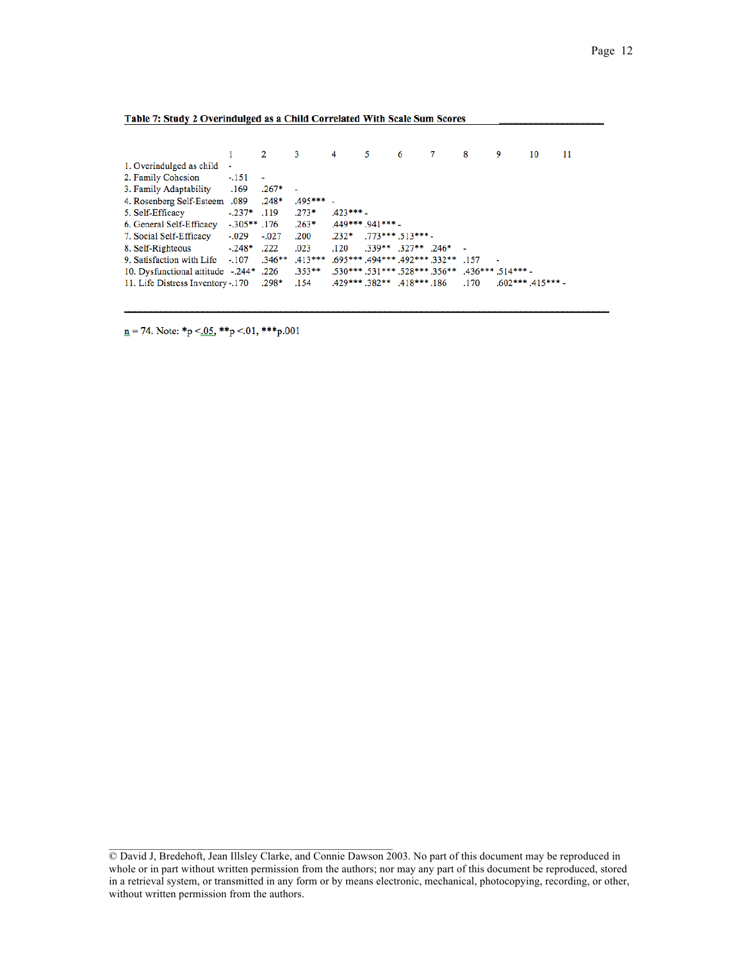Table 7: Study 2 Overindulged as a Child Correlated With Scale Sum Scores

 $\,1\,$  $\overline{2}$  $\overline{\mathbf{3}}$  $\overline{4}$ 5 6  $\overline{7}$ 8 9  $10$  $11$ 1. Overindulged as child  $\sim$ 2. Family Cohesion  $-.151$ ÷. 3. Family Adaptability .169  $.267*$ .495\*\*\* -4. Rosenberg Self-Esteem .089 .248\*  $.423***$ . 5. Self-Efficacy  $-.237*$  .119  $.273*$ 6. General Self-Efficacy  $-.305**$ .176  $.263*$ .449\*\*\*.941\*\*\*.  $.232*$   $.773***$   $.513***$ 7. Social Self-Efficacy  $-.029-.027$ .200 .339\*\* .327\*\* .246\*  $-.248*$  .222 .023 8. Self-Righteous .120 ٠. 9. Satisfaction with Life -.107 .346\*\* .413\*\*\* .695\*\*\* .494\*\*\* .492\*\*\* .332\*\* .157 .353\*\* .530\*\*\* .531\*\*\* .528\*\*\* .356\*\* .436\*\*\* .514\*\*\* -10. Dysfunctional attitude -. 244\* .226 11. Life Distress Inventory -. 170 .298\*  $.429***.382***.418***.186 \qquad .170 \qquad .602***.415***-.$  $.154$ 

 $p = 74$ . Note: \*p < 05, \*\*p < 01, \*\*\*p.001

<sup>©</sup> David J, Bredehoft, Jean Illsley Clarke, and Connie Dawson 2003. No part of this document may be reproduced in whole or in part without written permission from the authors; nor may any part of this document be reproduced, stored in a retrieval system, or transmitted in any form or by means electronic, mechanical, photocopying, recording, or other, without written permission from the authors.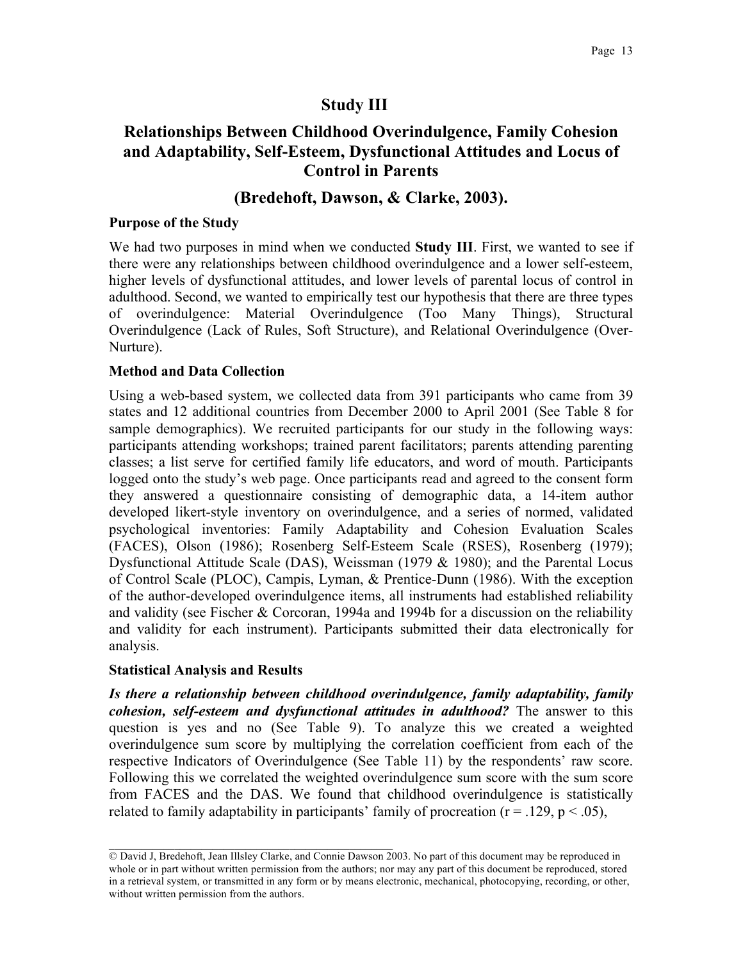# **Study III**

# **Relationships Between Childhood Overindulgence, Family Cohesion and Adaptability, Self-Esteem, Dysfunctional Attitudes and Locus of Control in Parents**

### **(Bredehoft, Dawson, & Clarke, 2003).**

### **Purpose of the Study**

We had two purposes in mind when we conducted **Study III**. First, we wanted to see if there were any relationships between childhood overindulgence and a lower self-esteem, higher levels of dysfunctional attitudes, and lower levels of parental locus of control in adulthood. Second, we wanted to empirically test our hypothesis that there are three types of overindulgence: Material Overindulgence (Too Many Things), Structural Overindulgence (Lack of Rules, Soft Structure), and Relational Overindulgence (Over-Nurture).

### **Method and Data Collection**

Using a web-based system, we collected data from 391 participants who came from 39 states and 12 additional countries from December 2000 to April 2001 (See Table 8 for sample demographics). We recruited participants for our study in the following ways: participants attending workshops; trained parent facilitators; parents attending parenting classes; a list serve for certified family life educators, and word of mouth. Participants logged onto the study's web page. Once participants read and agreed to the consent form they answered a questionnaire consisting of demographic data, a 14-item author developed likert-style inventory on overindulgence, and a series of normed, validated psychological inventories: Family Adaptability and Cohesion Evaluation Scales (FACES), Olson (1986); Rosenberg Self-Esteem Scale (RSES), Rosenberg (1979); Dysfunctional Attitude Scale (DAS), Weissman (1979 & 1980); and the Parental Locus of Control Scale (PLOC), Campis, Lyman, & Prentice-Dunn (1986). With the exception of the author-developed overindulgence items, all instruments had established reliability and validity (see Fischer & Corcoran, 1994a and 1994b for a discussion on the reliability and validity for each instrument). Participants submitted their data electronically for analysis.

### **Statistical Analysis and Results**

*Is there a relationship between childhood overindulgence, family adaptability, family cohesion, self-esteem and dysfunctional attitudes in adulthood?* The answer to this question is yes and no (See Table 9). To analyze this we created a weighted overindulgence sum score by multiplying the correlation coefficient from each of the respective Indicators of Overindulgence (See Table 11) by the respondents' raw score. Following this we correlated the weighted overindulgence sum score with the sum score from FACES and the DAS. We found that childhood overindulgence is statistically related to family adaptability in participants' family of procreation ( $r = .129$ ,  $p < .05$ ),

<sup>©</sup> David J, Bredehoft, Jean Illsley Clarke, and Connie Dawson 2003. No part of this document may be reproduced in whole or in part without written permission from the authors; nor may any part of this document be reproduced, stored in a retrieval system, or transmitted in any form or by means electronic, mechanical, photocopying, recording, or other, without written permission from the authors.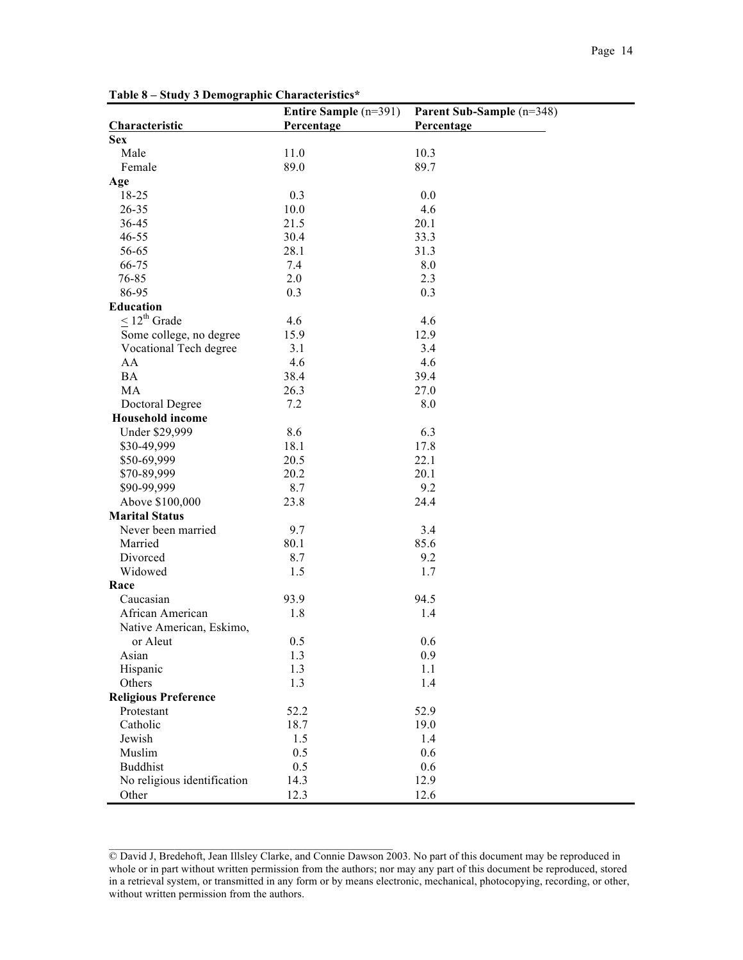|                             | Entire Sample (n=391) | Parent Sub-Sample (n=348) |  |
|-----------------------------|-----------------------|---------------------------|--|
| Characteristic              | Percentage            | Percentage                |  |
| <b>Sex</b>                  |                       |                           |  |
| Male                        | 11.0                  | 10.3                      |  |
| Female                      | 89.0                  | 89.7                      |  |
| Age                         |                       |                           |  |
| 18-25                       | 0.3                   | 0.0                       |  |
| 26-35                       | 10.0                  | 4.6                       |  |
| 36-45                       | 21.5                  | 20.1                      |  |
| 46-55                       | 30.4                  | 33.3                      |  |
| 56-65                       | 28.1                  | 31.3                      |  |
| 66-75                       | 7.4                   | 8.0                       |  |
| 76-85                       | 2.0                   | 2.3                       |  |
| 86-95                       | 0.3                   | 0.3                       |  |
| Education                   |                       |                           |  |
| $\leq 12^{\text{th}}$ Grade | 4.6                   | 4.6                       |  |
| Some college, no degree     | 15.9                  | 12.9                      |  |
| Vocational Tech degree      | 3.1                   | 3.4                       |  |
| AA                          | 4.6                   | 4.6                       |  |
| <b>BA</b>                   | 38.4                  | 39.4                      |  |
| <b>MA</b>                   | 26.3                  | 27.0                      |  |
| <b>Doctoral Degree</b>      | 7.2                   | 8.0                       |  |
| <b>Household income</b>     |                       |                           |  |
| Under \$29,999              | 8.6                   | 6.3                       |  |
| \$30-49,999                 | 18.1                  | 17.8                      |  |
| \$50-69,999                 | 20.5                  | 22.1                      |  |
| \$70-89,999                 | 20.2                  | 20.1                      |  |
| \$90-99,999                 | 8.7                   | 9.2                       |  |
| Above \$100,000             | 23.8                  | 24.4                      |  |
| <b>Marital Status</b>       |                       |                           |  |
| Never been married          | 9.7                   | 3.4                       |  |
| Married                     | 80.1                  | 85.6                      |  |
| Divorced                    | 8.7                   | 9.2                       |  |
| Widowed                     | 1.5                   | 1.7                       |  |
| Race                        |                       |                           |  |
| Caucasian                   | 93.9                  | 94.5                      |  |
| African American            | 1.8                   | 1.4                       |  |
| Native American, Eskimo,    |                       |                           |  |
| or Aleut                    | 0.5                   | 0.6                       |  |
| Asian                       | 1.3                   | 0.9                       |  |
| Hispanic                    | 1.3                   | 1.1                       |  |
| Others                      | 1.3                   | 1.4                       |  |
| <b>Religious Preference</b> |                       |                           |  |
| Protestant                  | 52.2                  | 52.9                      |  |
| Catholic                    | 18.7                  | 19.0                      |  |
| Jewish                      | 1.5                   | 1.4                       |  |
| Muslim                      | 0.5                   | 0.6                       |  |
| <b>Buddhist</b>             | 0.5                   | 0.6                       |  |
| No religious identification | 14.3                  | 12.9                      |  |
| Other                       | 12.3                  | 12.6                      |  |

**Table 8 – Study 3 Demographic Characteristics\***

© David J, Bredehoft, Jean Illsley Clarke, and Connie Dawson 2003. No part of this document may be reproduced in whole or in part without written permission from the authors; nor may any part of this document be reproduced, stored in a retrieval system, or transmitted in any form or by means electronic, mechanical, photocopying, recording, or other, without written permission from the authors.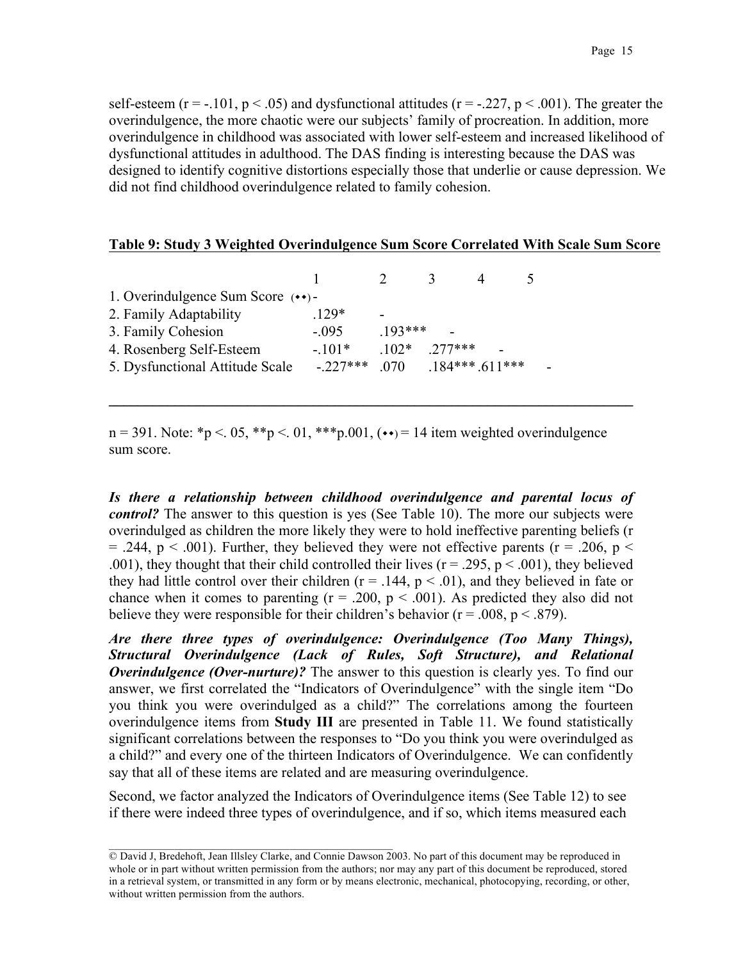self-esteem ( $r = -101$ ,  $p < .05$ ) and dysfunctional attitudes ( $r = -227$ ,  $p < .001$ ). The greater the overindulgence, the more chaotic were our subjects' family of procreation. In addition, more overindulgence in childhood was associated with lower self-esteem and increased likelihood of dysfunctional attitudes in adulthood. The DAS finding is interesting because the DAS was designed to identify cognitive distortions especially those that underlie or cause depression. We did not find childhood overindulgence related to family cohesion.

### **Table 9: Study 3 Weighted Overindulgence Sum Score Correlated With Scale Sum Score**

| 1. Overindulgence Sum Score $(\rightarrow)$ - |           |          |                |  |  |
|-----------------------------------------------|-----------|----------|----------------|--|--|
| 2. Family Adaptability                        | $129*$    |          |                |  |  |
| 3. Family Cohesion                            | $-.095$   | $193***$ |                |  |  |
| 4. Rosenberg Self-Esteem                      | $-101*$   | $102*$   | $277***$       |  |  |
| 5. Dysfunctional Attitude Scale               | $-227***$ | 070      | $184***611***$ |  |  |

n = 391. Note: \*p <. 05, \*\*p <. 01, \*\*\*p.001,  $(\rightarrow)$  = 14 item weighted overindulgence sum score.

**\_\_\_\_\_\_\_\_\_\_\_\_\_\_\_\_\_\_\_\_\_\_\_\_\_\_\_\_\_\_\_\_\_\_\_\_\_\_\_\_\_\_\_\_\_\_\_\_\_\_\_\_\_\_\_\_\_\_\_\_\_\_\_\_\_\_\_\_\_\_\_\_**

Is there a relationship between childhood overindulgence and parental locus of *control?* The answer to this question is yes (See Table 10). The more our subjects were overindulged as children the more likely they were to hold ineffective parenting beliefs (r  $= .244$ , p  $\lt$  .001). Further, they believed they were not effective parents (r = .206, p  $\lt$ .001), they thought that their child controlled their lives ( $r = .295$ ,  $p < .001$ ), they believed they had little control over their children ( $r = .144$ ,  $p < .01$ ), and they believed in fate or chance when it comes to parenting  $(r = .200, p < .001)$ . As predicted they also did not believe they were responsible for their children's behavior ( $r = .008$ ,  $p < .879$ ).

*Are there three types of overindulgence: Overindulgence (Too Many Things), Structural Overindulgence (Lack of Rules, Soft Structure), and Relational Overindulgence (Over-nurture)?* The answer to this question is clearly yes. To find our answer, we first correlated the "Indicators of Overindulgence" with the single item "Do you think you were overindulged as a child?" The correlations among the fourteen overindulgence items from **Study III** are presented in Table 11. We found statistically significant correlations between the responses to "Do you think you were overindulged as a child?" and every one of the thirteen Indicators of Overindulgence. We can confidently say that all of these items are related and are measuring overindulgence.

Second, we factor analyzed the Indicators of Overindulgence items (See Table 12) to see if there were indeed three types of overindulgence, and if so, which items measured each

<sup>©</sup> David J, Bredehoft, Jean Illsley Clarke, and Connie Dawson 2003. No part of this document may be reproduced in whole or in part without written permission from the authors; nor may any part of this document be reproduced, stored in a retrieval system, or transmitted in any form or by means electronic, mechanical, photocopying, recording, or other, without written permission from the authors.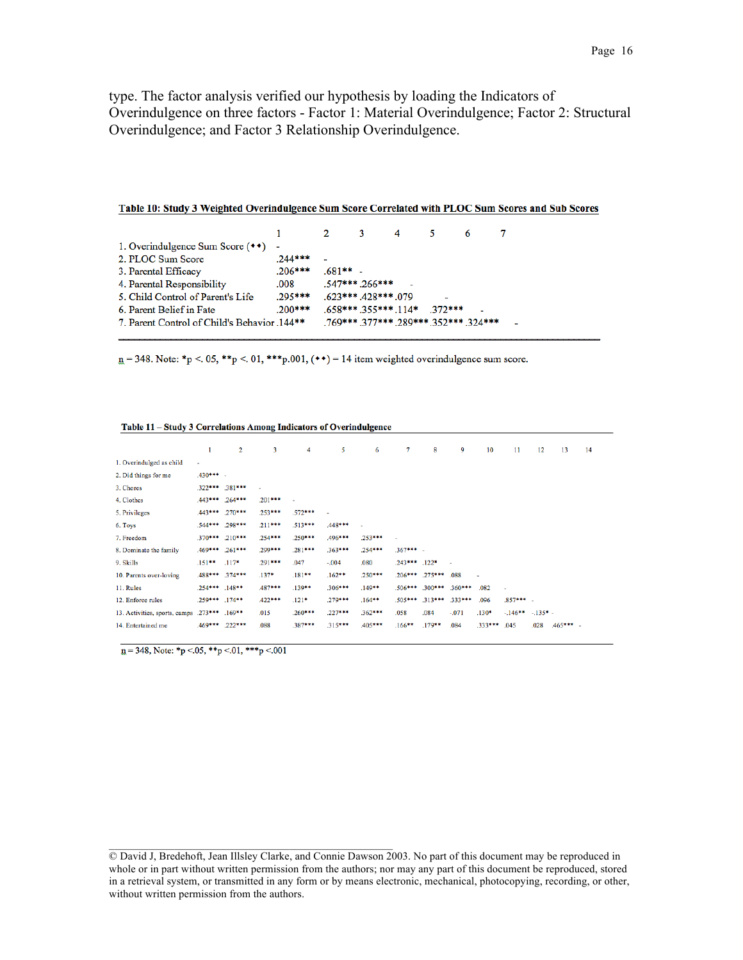type. The factor analysis verified our hypothesis by loading the Indicators of Overindulgence on three factors - Factor 1: Material Overindulgence; Factor 2: Structural Overindulgence; and Factor 3 Relationship Overindulgence.

#### Table 10: Study 3 Weighted Overindulgence Sum Score Correlated with PLOC Sum Scores and Sub Scores

|                                                      |           |                     | 3 |                                     |  |
|------------------------------------------------------|-----------|---------------------|---|-------------------------------------|--|
| 1. Overindulgence Sum Score $($ $\bullet \bullet)$ - |           |                     |   |                                     |  |
| 2. PLOC Sum Score                                    | $744***$  |                     |   |                                     |  |
| 3. Parental Efficacy                                 | $.206***$ | $.681**$ -          |   |                                     |  |
| 4. Parental Responsibility                           | .008      | 547*** 266***       |   |                                     |  |
| 5. Child Control of Parent's Life                    | 295***    | $623***$ 428*** 079 |   |                                     |  |
| 6. Parent Belief in Fate                             | $.200***$ |                     |   | $.658***355***114*$ 372***          |  |
| 7. Parent Control of Child's Behavior .144**         |           |                     |   | .769***.377***.289***.352***.324*** |  |

 $p = 348$ . Note: \*p <. 05, \*\*p <. 01, \*\*\*p.001, (\*\*) = 14 item weighted overindulgence sum score.

#### Table 11 - Study 3 Correlations Among Indicators of Overindulgence

|                               | 1                   | $\overline{2}$ | 3         | 4         | 5         | 6         | 7             | 8                   | 9       | 10        | 11          | 12         | 13          | 14 |
|-------------------------------|---------------------|----------------|-----------|-----------|-----------|-----------|---------------|---------------------|---------|-----------|-------------|------------|-------------|----|
| 1. Overindulged as child      | ٠                   |                |           |           |           |           |               |                     |         |           |             |            |             |    |
| 2. Did things for me          | $.430***$           |                |           |           |           |           |               |                     |         |           |             |            |             |    |
| 3. Chores                     | $.322***$ $.381***$ |                | ٠         |           |           |           |               |                     |         |           |             |            |             |    |
| 4. Clothes                    | $.443***$           | $.264***$      | $.201***$ |           |           |           |               |                     |         |           |             |            |             |    |
| 5. Privileges                 | $.443***$           | $.270***$      | .253***   | $.572***$ | i,        |           |               |                     |         |           |             |            |             |    |
| 6. Toys                       | $.544***$           | $.298***$      | $.211***$ | .513***   | $.448***$ |           |               |                     |         |           |             |            |             |    |
| 7. Freedom                    | $.370***$           | $.210***$      | $.254***$ | .250***   | .496***   | $.253***$ |               |                     |         |           |             |            |             |    |
| 8. Dominate the family        | $.469***$           | $.261***$      | 299 ***   | $.281***$ | $.363***$ | $.254***$ | $.367***$ -   |                     |         |           |             |            |             |    |
| 9. Skills                     | $.151***$           | $.117*$        | .291***   | .047      | $-.004$   | .080      | .243*** .122* |                     |         |           |             |            |             |    |
| 10. Parents over-loving       | .488*** .374***     |                | $.137*$   | $.181***$ | $.162***$ | $.250***$ | $.206***$     | $.275***$           | .088    |           |             |            |             |    |
| 11. Rules                     | $.254***$ $.148**$  |                | $.487***$ | $.139**$  | $.306***$ | $.149**$  | $.506***$     | $.300***$ $.360***$ |         | .082      | ٠           |            |             |    |
| 12. Enforce rules             | .259*** .174**      |                | $.422***$ | $.121*$   | .279***   | $.164***$ | $.505***$     | .313*** .333***     |         | .096      | $.857***$ . |            |             |    |
| 13. Activities, sports, camps | .273*** .169**      |                | .015      | $.260***$ | $.227***$ | $.362***$ | .058          | .084                | $-.071$ | $.130*$   | $-.146**$   | $-.135* -$ |             |    |
| 14. Entertained me            | .469*** .222***     |                | .088      | .387***   | 315***    | .405***   | $.166***$     | $.179**$            | .084    | $.333***$ | .045        | .028       | $.465***$ . |    |

 $n = 348$ , Note: \*p < 05, \*\*p < 01, \*\*\*p < 001

<sup>©</sup> David J, Bredehoft, Jean Illsley Clarke, and Connie Dawson 2003. No part of this document may be reproduced in whole or in part without written permission from the authors; nor may any part of this document be reproduced, stored in a retrieval system, or transmitted in any form or by means electronic, mechanical, photocopying, recording, or other, without written permission from the authors.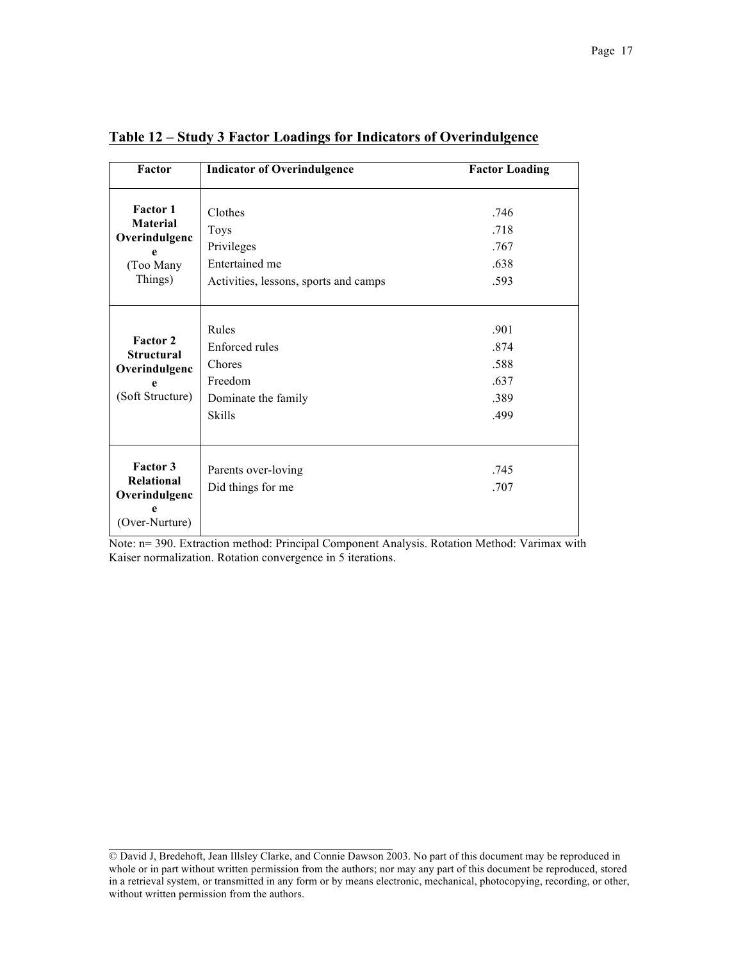| Factor                                                                           | <b>Indicator of Overindulgence</b>                                                              | <b>Factor Loading</b>                        |
|----------------------------------------------------------------------------------|-------------------------------------------------------------------------------------------------|----------------------------------------------|
| <b>Factor 1</b><br><b>Material</b><br>Overindulgenc<br>e<br>(Too Many<br>Things) | Clothes<br><b>Toys</b><br>Privileges<br>Entertained me<br>Activities, lessons, sports and camps | .746<br>.718<br>.767<br>.638<br>.593         |
| Factor 2<br><b>Structural</b><br>Overindulgenc<br>e<br>(Soft Structure)          | Rules<br>Enforced rules<br>Chores<br>Freedom<br>Dominate the family<br><b>Skills</b>            | .901<br>.874<br>.588<br>.637<br>.389<br>.499 |
| Factor 3<br><b>Relational</b><br>Overindulgenc<br>e<br>(Over-Nurture)            | Parents over-loving<br>Did things for me                                                        | .745<br>.707                                 |

### **Table 12 – Study 3 Factor Loadings for Indicators of Overindulgence**

Note: n= 390. Extraction method: Principal Component Analysis. Rotation Method: Varimax with Kaiser normalization. Rotation convergence in 5 iterations.

<sup>©</sup> David J, Bredehoft, Jean Illsley Clarke, and Connie Dawson 2003. No part of this document may be reproduced in whole or in part without written permission from the authors; nor may any part of this document be reproduced, stored in a retrieval system, or transmitted in any form or by means electronic, mechanical, photocopying, recording, or other, without written permission from the authors.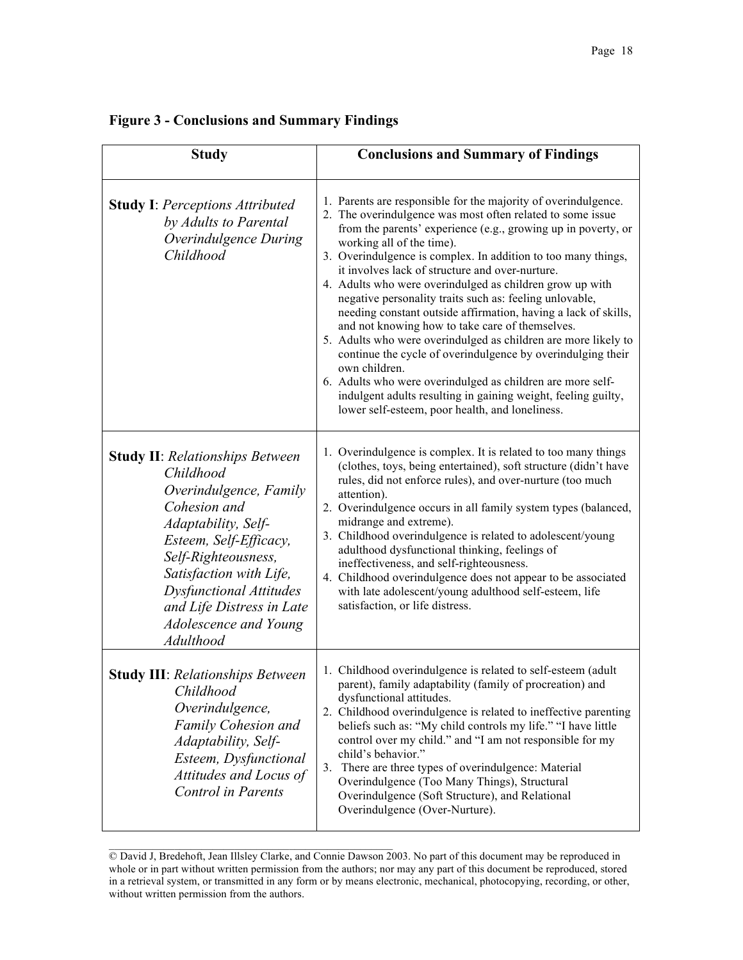|  |  |  | <b>Figure 3 - Conclusions and Summary Findings</b> |
|--|--|--|----------------------------------------------------|

| <b>Study</b>                                                                                                                                                                                                                                                                                          | <b>Conclusions and Summary of Findings</b>                                                                                                                                                                                                                                                                                                                                                                                                                                                                                                                                                                                                                                                                                                                                                                                                                                                                                     |  |  |  |
|-------------------------------------------------------------------------------------------------------------------------------------------------------------------------------------------------------------------------------------------------------------------------------------------------------|--------------------------------------------------------------------------------------------------------------------------------------------------------------------------------------------------------------------------------------------------------------------------------------------------------------------------------------------------------------------------------------------------------------------------------------------------------------------------------------------------------------------------------------------------------------------------------------------------------------------------------------------------------------------------------------------------------------------------------------------------------------------------------------------------------------------------------------------------------------------------------------------------------------------------------|--|--|--|
| <b>Study I: Perceptions Attributed</b><br>by Adults to Parental<br>Overindulgence During<br>Childhood                                                                                                                                                                                                 | 1. Parents are responsible for the majority of overindulgence.<br>2. The overindulgence was most often related to some issue<br>from the parents' experience (e.g., growing up in poverty, or<br>working all of the time).<br>3. Overindulgence is complex. In addition to too many things,<br>it involves lack of structure and over-nurture.<br>4. Adults who were overindulged as children grow up with<br>negative personality traits such as: feeling unlovable,<br>needing constant outside affirmation, having a lack of skills,<br>and not knowing how to take care of themselves.<br>5. Adults who were overindulged as children are more likely to<br>continue the cycle of overindulgence by overindulging their<br>own children.<br>6. Adults who were overindulged as children are more self-<br>indulgent adults resulting in gaining weight, feeling guilty,<br>lower self-esteem, poor health, and loneliness. |  |  |  |
| <b>Study II: Relationships Between</b><br>Childhood<br>Overindulgence, Family<br>Cohesion and<br>Adaptability, Self-<br>Esteem, Self-Efficacy,<br>Self-Righteousness,<br>Satisfaction with Life,<br><b>Dysfunctional Attitudes</b><br>and Life Distress in Late<br>Adolescence and Young<br>Adulthood | 1. Overindulgence is complex. It is related to too many things<br>(clothes, toys, being entertained), soft structure (didn't have<br>rules, did not enforce rules), and over-nurture (too much<br>attention).<br>2. Overindulgence occurs in all family system types (balanced,<br>midrange and extreme).<br>3. Childhood overindulgence is related to adolescent/young<br>adulthood dysfunctional thinking, feelings of<br>ineffectiveness, and self-righteousness.<br>4. Childhood overindulgence does not appear to be associated<br>with late adolescent/young adulthood self-esteem, life<br>satisfaction, or life distress.                                                                                                                                                                                                                                                                                              |  |  |  |
| <b>Study III: Relationships Between</b><br>Childhood<br>Overindulgence,<br><b>Family Cohesion and</b><br>Adaptability, Self-<br>Esteem, Dysfunctional<br>Attitudes and Locus of<br><b>Control</b> in Parents                                                                                          | 1. Childhood overindulgence is related to self-esteem (adult<br>parent), family adaptability (family of procreation) and<br>dysfunctional attitudes.<br>2. Childhood overindulgence is related to ineffective parenting<br>beliefs such as: "My child controls my life." "I have little<br>control over my child." and "I am not responsible for my<br>child's behavior."<br>3. There are three types of overindulgence: Material<br>Overindulgence (Too Many Things), Structural<br>Overindulgence (Soft Structure), and Relational<br>Overindulgence (Over-Nurture).                                                                                                                                                                                                                                                                                                                                                         |  |  |  |

<sup>©</sup> David J, Bredehoft, Jean Illsley Clarke, and Connie Dawson 2003. No part of this document may be reproduced in whole or in part without written permission from the authors; nor may any part of this document be reproduced, stored in a retrieval system, or transmitted in any form or by means electronic, mechanical, photocopying, recording, or other, without written permission from the authors.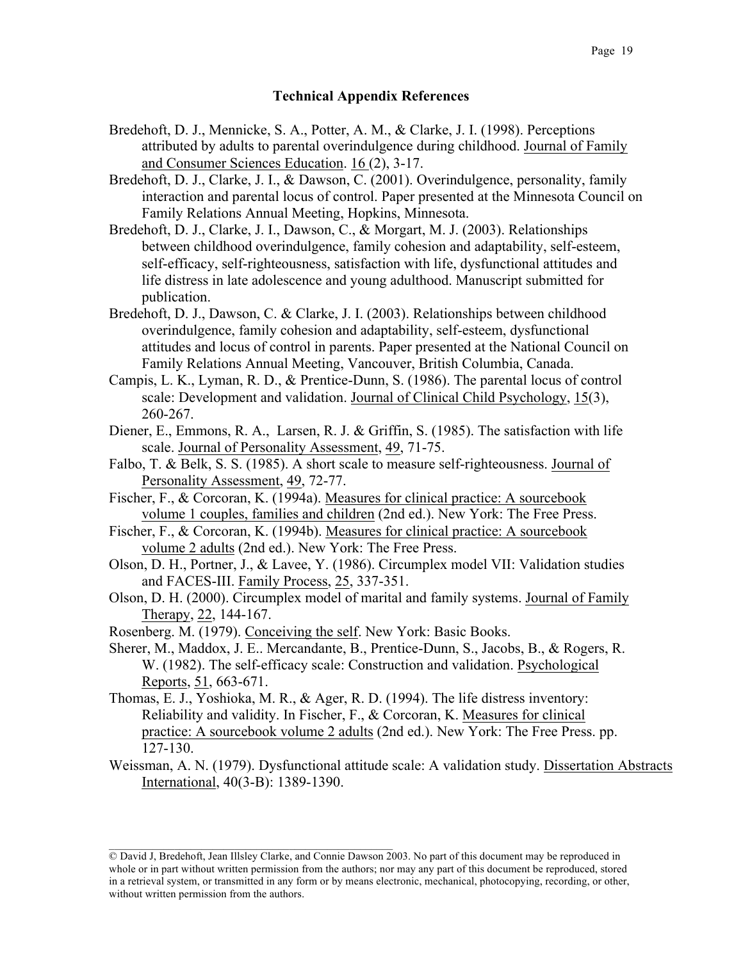### **Technical Appendix References**

- Bredehoft, D. J., Mennicke, S. A., Potter, A. M., & Clarke, J. I. (1998). Perceptions attributed by adults to parental overindulgence during childhood. Journal of Family and Consumer Sciences Education. 16 (2), 3-17.
- Bredehoft, D. J., Clarke, J. I., & Dawson, C. (2001). Overindulgence, personality, family interaction and parental locus of control. Paper presented at the Minnesota Council on Family Relations Annual Meeting, Hopkins, Minnesota.
- Bredehoft, D. J., Clarke, J. I., Dawson, C., & Morgart, M. J. (2003). Relationships between childhood overindulgence, family cohesion and adaptability, self-esteem, self-efficacy, self-righteousness, satisfaction with life, dysfunctional attitudes and life distress in late adolescence and young adulthood. Manuscript submitted for publication.
- Bredehoft, D. J., Dawson, C. & Clarke, J. I. (2003). Relationships between childhood overindulgence, family cohesion and adaptability, self-esteem, dysfunctional attitudes and locus of control in parents. Paper presented at the National Council on Family Relations Annual Meeting, Vancouver, British Columbia, Canada.
- Campis, L. K., Lyman, R. D., & Prentice-Dunn, S. (1986). The parental locus of control scale: Development and validation. Journal of Clinical Child Psychology, 15(3), 260-267.
- Diener, E., Emmons, R. A., Larsen, R. J. & Griffin, S. (1985). The satisfaction with life scale. Journal of Personality Assessment, 49, 71-75.
- Falbo, T. & Belk, S. S. (1985). A short scale to measure self-righteousness. Journal of Personality Assessment, 49, 72-77.
- Fischer, F., & Corcoran, K. (1994a). Measures for clinical practice: A sourcebook volume 1 couples, families and children (2nd ed.). New York: The Free Press.
- Fischer, F., & Corcoran, K. (1994b). Measures for clinical practice: A sourcebook volume 2 adults (2nd ed.). New York: The Free Press.
- Olson, D. H., Portner, J., & Lavee, Y. (1986). Circumplex model VII: Validation studies and FACES-III. Family Process, 25, 337-351.
- Olson, D. H. (2000). Circumplex model of marital and family systems. Journal of Family Therapy, 22, 144-167.
- Rosenberg. M. (1979). Conceiving the self. New York: Basic Books.
- Sherer, M., Maddox, J. E.. Mercandante, B., Prentice-Dunn, S., Jacobs, B., & Rogers, R. W. (1982). The self-efficacy scale: Construction and validation. Psychological Reports, 51, 663-671.
- Thomas, E. J., Yoshioka, M. R., & Ager, R. D. (1994). The life distress inventory: Reliability and validity. In Fischer, F., & Corcoran, K. Measures for clinical practice: A sourcebook volume 2 adults (2nd ed.). New York: The Free Press. pp. 127-130.
- Weissman, A. N. (1979). Dysfunctional attitude scale: A validation study. Dissertation Abstracts International, 40(3-B): 1389-1390.

<sup>©</sup> David J, Bredehoft, Jean Illsley Clarke, and Connie Dawson 2003. No part of this document may be reproduced in whole or in part without written permission from the authors; nor may any part of this document be reproduced, stored in a retrieval system, or transmitted in any form or by means electronic, mechanical, photocopying, recording, or other, without written permission from the authors.